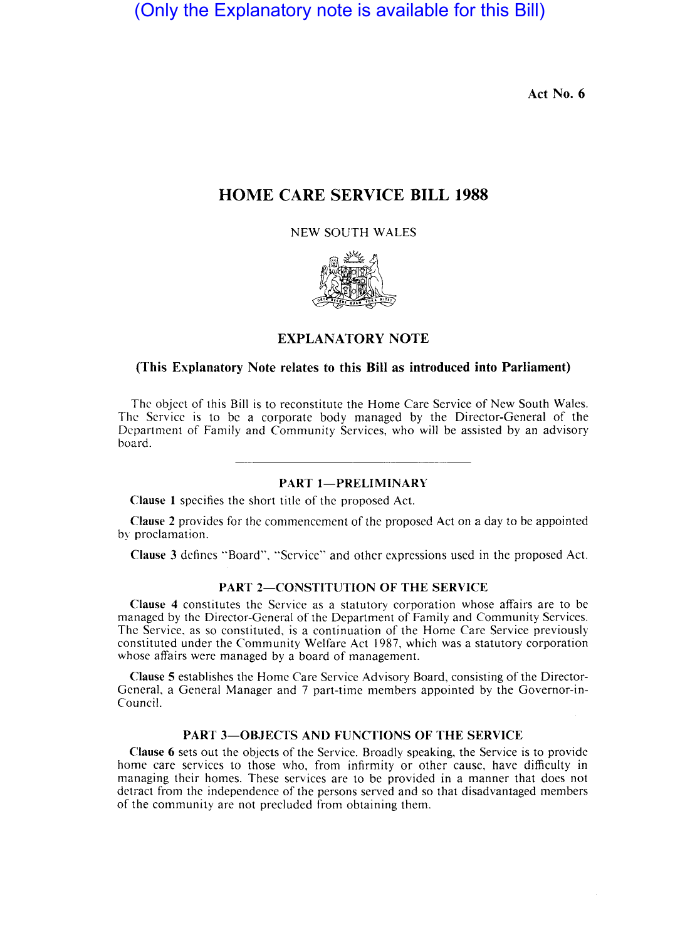(Only the Explanatory note is available for this Bill)

Act No. 6

# HOME CARE SERVICE BILL 1988

NEW SOUTH WALES



## EXPLANATORY NOTE

#### (This Explanatory Note relates to this Bill as introduced into Parliament)

The object of this Bill is to reconstitute the Home Care Service of New South Wales. The Service is to be a corporate body managed by the Director-General of the Department of Family and Community Services, who will be assisted by an advisory board.

## PART 1-PRELIMINARY

Clause 1 specifies the short title of the proposed Act.

Clause 2 provides for the commencement of the proposed Act on a day to be appointed by proclamation.

Clause 3 defines "Board", "Service" and other expressions used in the proposed Act.

## PART 2-CONSTITUTION OF THE SERVICE

Clause 4 constitutes the Service as a statutory corporation whose affairs are to be managed by the Director-General of the Department of Family and Community Services. The Service, as so constituted, is a continuation of the Home Care Service previously constituted under the Community Welfare Act 1987, which was a statutory corporation whose affairs were managed by a board of management.

Clause 5 establishes the Home Care Service Advisory Board, consisting of the Director-General, a General Manager and 7 part-time members appointed by the Governor-in-Council.

# PART 3-OBJECTS AND FUNCTIONS OF THE SERVICE

Clause 6 sets out the objects of the Service. Broadly speaking, the Service is to provide home care services to those who, from infirmity or other cause, have difficulty in managing their homes. These services are to be provided in a manner that does not detract from the independence of the persons served and so that disadvantaged members of the community are not precluded from obtaining them.